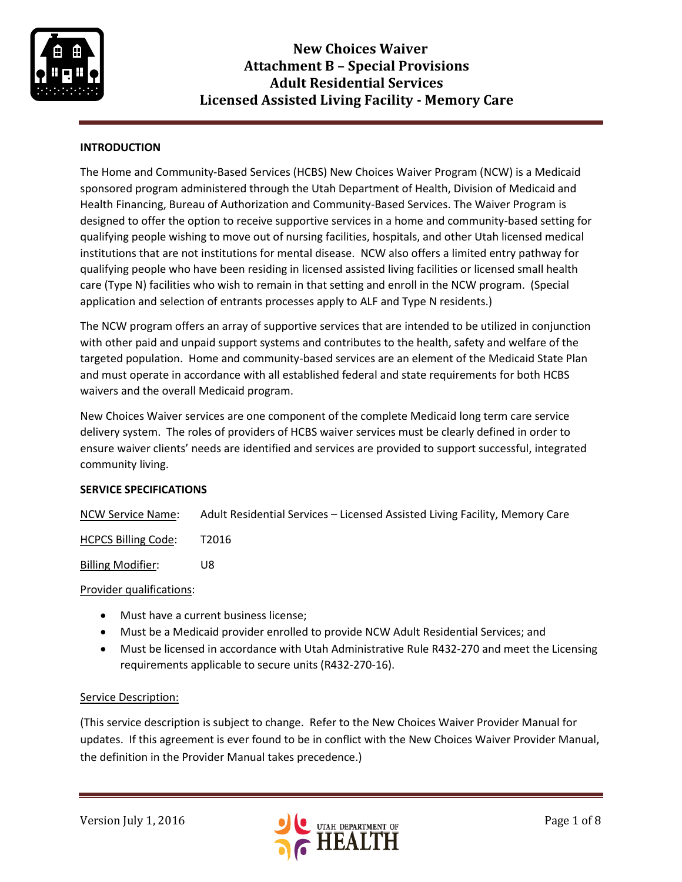

## **INTRODUCTION**

The Home and Community-Based Services (HCBS) New Choices Waiver Program (NCW) is a Medicaid sponsored program administered through the Utah Department of Health, Division of Medicaid and Health Financing, Bureau of Authorization and Community-Based Services. The Waiver Program is designed to offer the option to receive supportive services in a home and community-based setting for qualifying people wishing to move out of nursing facilities, hospitals, and other Utah licensed medical institutions that are not institutions for mental disease. NCW also offers a limited entry pathway for qualifying people who have been residing in licensed assisted living facilities or licensed small health care (Type N) facilities who wish to remain in that setting and enroll in the NCW program. (Special application and selection of entrants processes apply to ALF and Type N residents.)

The NCW program offers an array of supportive services that are intended to be utilized in conjunction with other paid and unpaid support systems and contributes to the health, safety and welfare of the targeted population. Home and community-based services are an element of the Medicaid State Plan and must operate in accordance with all established federal and state requirements for both HCBS waivers and the overall Medicaid program.

New Choices Waiver services are one component of the complete Medicaid long term care service delivery system. The roles of providers of HCBS waiver services must be clearly defined in order to ensure waiver clients' needs are identified and services are provided to support successful, integrated community living.

### **SERVICE SPECIFICATIONS**

NCW Service Name: Adult Residential Services – Licensed Assisted Living Facility, Memory Care

HCPCS Billing Code: T2016

Billing Modifier: U8

Provider qualifications:

- Must have a current business license;
- Must be a Medicaid provider enrolled to provide NCW Adult Residential Services; and
- Must be licensed in accordance with Utah Administrative Rule R432-270 and meet the Licensing requirements applicable to secure units (R432-270-16).

### Service Description:

(This service description is subject to change. Refer to the New Choices Waiver Provider Manual for updates. If this agreement is ever found to be in conflict with the New Choices Waiver Provider Manual, the definition in the Provider Manual takes precedence.)

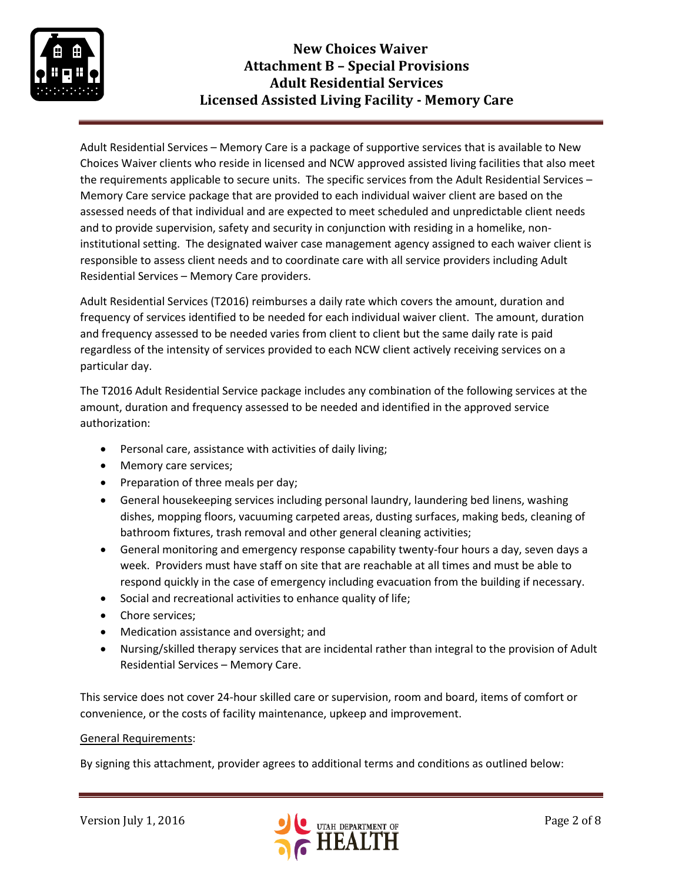

## **New Choices Waiver Attachment B – Special Provisions Adult Residential Services Licensed Assisted Living Facility - Memory Care**

Adult Residential Services – Memory Care is a package of supportive services that is available to New Choices Waiver clients who reside in licensed and NCW approved assisted living facilities that also meet the requirements applicable to secure units. The specific services from the Adult Residential Services – Memory Care service package that are provided to each individual waiver client are based on the assessed needs of that individual and are expected to meet scheduled and unpredictable client needs and to provide supervision, safety and security in conjunction with residing in a homelike, noninstitutional setting. The designated waiver case management agency assigned to each waiver client is responsible to assess client needs and to coordinate care with all service providers including Adult Residential Services – Memory Care providers.

Adult Residential Services (T2016) reimburses a daily rate which covers the amount, duration and frequency of services identified to be needed for each individual waiver client. The amount, duration and frequency assessed to be needed varies from client to client but the same daily rate is paid regardless of the intensity of services provided to each NCW client actively receiving services on a particular day.

The T2016 Adult Residential Service package includes any combination of the following services at the amount, duration and frequency assessed to be needed and identified in the approved service authorization:

- Personal care, assistance with activities of daily living;
- Memory care services;
- Preparation of three meals per day;
- General housekeeping services including personal laundry, laundering bed linens, washing dishes, mopping floors, vacuuming carpeted areas, dusting surfaces, making beds, cleaning of bathroom fixtures, trash removal and other general cleaning activities;
- General monitoring and emergency response capability twenty-four hours a day, seven days a week. Providers must have staff on site that are reachable at all times and must be able to respond quickly in the case of emergency including evacuation from the building if necessary.
- Social and recreational activities to enhance quality of life;
- Chore services;
- Medication assistance and oversight; and
- Nursing/skilled therapy services that are incidental rather than integral to the provision of Adult Residential Services – Memory Care.

This service does not cover 24-hour skilled care or supervision, room and board, items of comfort or convenience, or the costs of facility maintenance, upkeep and improvement.

### General Requirements:

By signing this attachment, provider agrees to additional terms and conditions as outlined below:

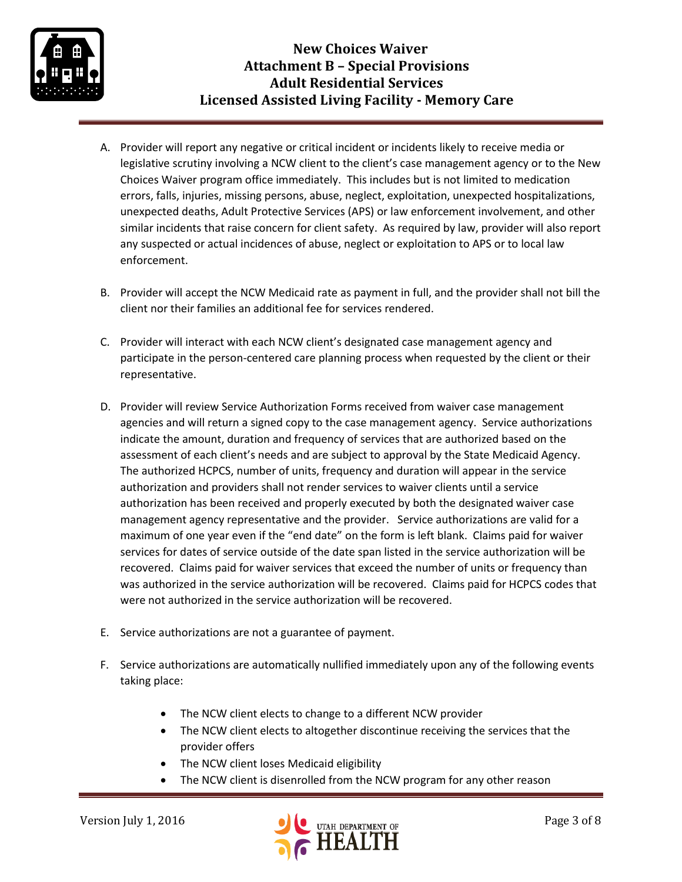

- A. Provider will report any negative or critical incident or incidents likely to receive media or legislative scrutiny involving a NCW client to the client's case management agency or to the New Choices Waiver program office immediately. This includes but is not limited to medication errors, falls, injuries, missing persons, abuse, neglect, exploitation, unexpected hospitalizations, unexpected deaths, Adult Protective Services (APS) or law enforcement involvement, and other similar incidents that raise concern for client safety. As required by law, provider will also report any suspected or actual incidences of abuse, neglect or exploitation to APS or to local law enforcement.
- B. Provider will accept the NCW Medicaid rate as payment in full, and the provider shall not bill the client nor their families an additional fee for services rendered.
- C. Provider will interact with each NCW client's designated case management agency and participate in the person-centered care planning process when requested by the client or their representative.
- D. Provider will review Service Authorization Forms received from waiver case management agencies and will return a signed copy to the case management agency. Service authorizations indicate the amount, duration and frequency of services that are authorized based on the assessment of each client's needs and are subject to approval by the State Medicaid Agency. The authorized HCPCS, number of units, frequency and duration will appear in the service authorization and providers shall not render services to waiver clients until a service authorization has been received and properly executed by both the designated waiver case management agency representative and the provider. Service authorizations are valid for a maximum of one year even if the "end date" on the form is left blank. Claims paid for waiver services for dates of service outside of the date span listed in the service authorization will be recovered. Claims paid for waiver services that exceed the number of units or frequency than was authorized in the service authorization will be recovered. Claims paid for HCPCS codes that were not authorized in the service authorization will be recovered.
- E. Service authorizations are not a guarantee of payment.
- F. Service authorizations are automatically nullified immediately upon any of the following events taking place:
	- The NCW client elects to change to a different NCW provider
	- The NCW client elects to altogether discontinue receiving the services that the provider offers
	- The NCW client loses Medicaid eligibility
	- The NCW client is disenrolled from the NCW program for any other reason

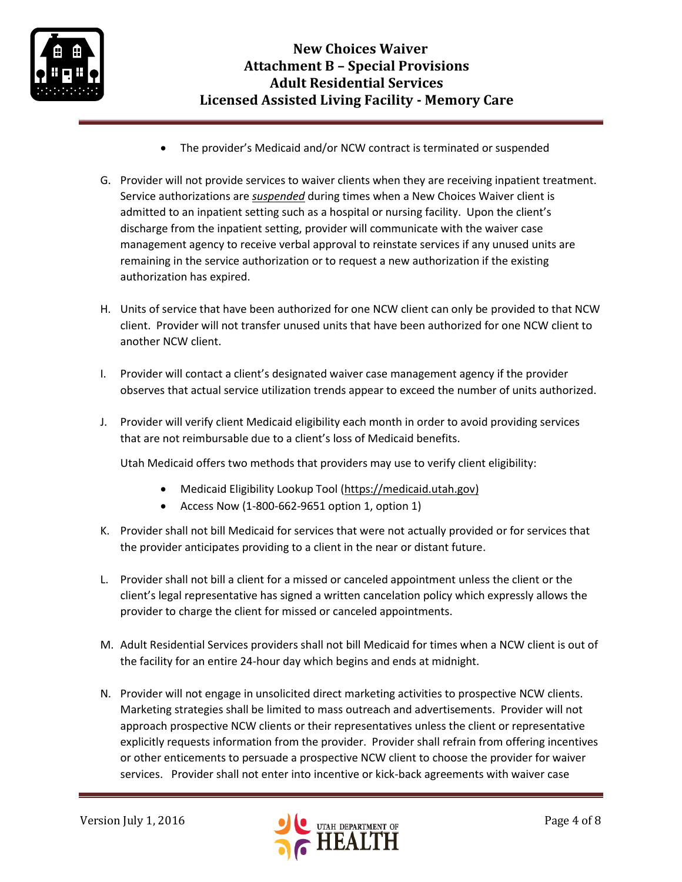

- The provider's Medicaid and/or NCW contract is terminated or suspended
- G. Provider will not provide services to waiver clients when they are receiving inpatient treatment. Service authorizations are *suspended* during times when a New Choices Waiver client is admitted to an inpatient setting such as a hospital or nursing facility. Upon the client's discharge from the inpatient setting, provider will communicate with the waiver case management agency to receive verbal approval to reinstate services if any unused units are remaining in the service authorization or to request a new authorization if the existing authorization has expired.
- H. Units of service that have been authorized for one NCW client can only be provided to that NCW client. Provider will not transfer unused units that have been authorized for one NCW client to another NCW client.
- I. Provider will contact a client's designated waiver case management agency if the provider observes that actual service utilization trends appear to exceed the number of units authorized.
- J. Provider will verify client Medicaid eligibility each month in order to avoid providing services that are not reimbursable due to a client's loss of Medicaid benefits.

Utah Medicaid offers two methods that providers may use to verify client eligibility:

- Medicaid Eligibility Lookup Tool [\(https://medicaid.utah.gov\)](https://medicaid.utah.gov/)
- Access Now (1-800-662-9651 option 1, option 1)
- K. Provider shall not bill Medicaid for services that were not actually provided or for services that the provider anticipates providing to a client in the near or distant future.
- L. Provider shall not bill a client for a missed or canceled appointment unless the client or the client's legal representative has signed a written cancelation policy which expressly allows the provider to charge the client for missed or canceled appointments.
- M. Adult Residential Services providers shall not bill Medicaid for times when a NCW client is out of the facility for an entire 24-hour day which begins and ends at midnight.
- N. Provider will not engage in unsolicited direct marketing activities to prospective NCW clients. Marketing strategies shall be limited to mass outreach and advertisements. Provider will not approach prospective NCW clients or their representatives unless the client or representative explicitly requests information from the provider. Provider shall refrain from offering incentives or other enticements to persuade a prospective NCW client to choose the provider for waiver services. Provider shall not enter into incentive or kick-back agreements with waiver case

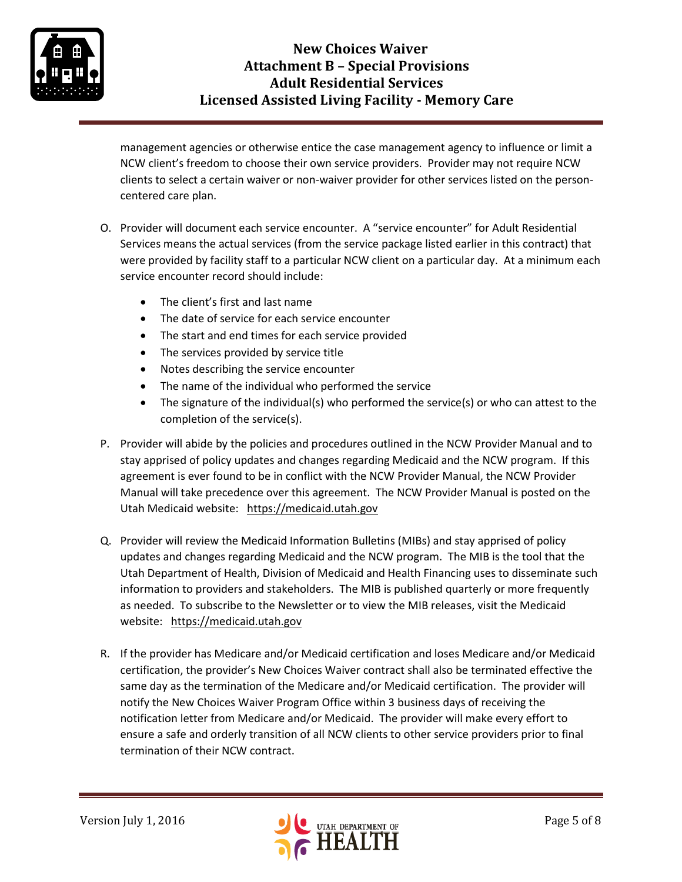

# **New Choices Waiver Attachment B – Special Provisions Adult Residential Services Licensed Assisted Living Facility - Memory Care**

management agencies or otherwise entice the case management agency to influence or limit a NCW client's freedom to choose their own service providers. Provider may not require NCW clients to select a certain waiver or non-waiver provider for other services listed on the personcentered care plan.

- O. Provider will document each service encounter. A "service encounter" for Adult Residential Services means the actual services (from the service package listed earlier in this contract) that were provided by facility staff to a particular NCW client on a particular day. At a minimum each service encounter record should include:
	- The client's first and last name
	- The date of service for each service encounter
	- The start and end times for each service provided
	- The services provided by service title
	- Notes describing the service encounter
	- The name of the individual who performed the service
	- The signature of the individual(s) who performed the service(s) or who can attest to the completion of the service(s).
- P. Provider will abide by the policies and procedures outlined in the NCW Provider Manual and to stay apprised of policy updates and changes regarding Medicaid and the NCW program. If this agreement is ever found to be in conflict with the NCW Provider Manual, the NCW Provider Manual will take precedence over this agreement. The NCW Provider Manual is posted on the Utah Medicaid website: [https://medicaid.utah.gov](https://medicaid.utah.gov/)
- Q. Provider will review the Medicaid Information Bulletins (MIBs) and stay apprised of policy updates and changes regarding Medicaid and the NCW program. The MIB is the tool that the Utah Department of Health, Division of Medicaid and Health Financing uses to disseminate such information to providers and stakeholders. The MIB is published quarterly or more frequently as needed. To subscribe to the Newsletter or to view the MIB releases, visit the Medicaid website: [https://medicaid.utah.gov](https://medicaid.utah.gov/)
- R. If the provider has Medicare and/or Medicaid certification and loses Medicare and/or Medicaid certification, the provider's New Choices Waiver contract shall also be terminated effective the same day as the termination of the Medicare and/or Medicaid certification. The provider will notify the New Choices Waiver Program Office within 3 business days of receiving the notification letter from Medicare and/or Medicaid. The provider will make every effort to ensure a safe and orderly transition of all NCW clients to other service providers prior to final termination of their NCW contract.

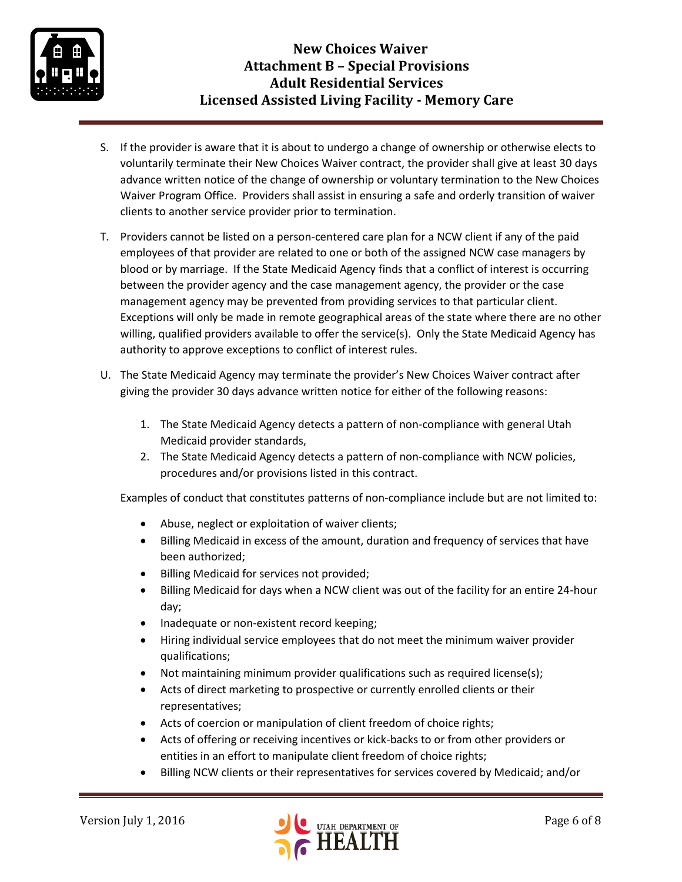

- S. If the provider is aware that it is about to undergo a change of ownership or otherwise elects to voluntarily terminate their New Choices Waiver contract, the provider shall give at least 30 days advance written notice of the change of ownership or voluntary termination to the New Choices Waiver Program Office. Providers shall assist in ensuring a safe and orderly transition of waiver clients to another service provider prior to termination.
- T. Providers cannot be listed on a person-centered care plan for a NCW client if any of the paid employees of that provider are related to one or both of the assigned NCW case managers by blood or by marriage. If the State Medicaid Agency finds that a conflict of interest is occurring between the provider agency and the case management agency, the provider or the case management agency may be prevented from providing services to that particular client. Exceptions will only be made in remote geographical areas of the state where there are no other willing, qualified providers available to offer the service(s). Only the State Medicaid Agency has authority to approve exceptions to conflict of interest rules.
- U. The State Medicaid Agency may terminate the provider's New Choices Waiver contract after giving the provider 30 days advance written notice for either of the following reasons:
	- 1. The State Medicaid Agency detects a pattern of non-compliance with general Utah Medicaid provider standards,
	- 2. The State Medicaid Agency detects a pattern of non-compliance with NCW policies, procedures and/or provisions listed in this contract.

Examples of conduct that constitutes patterns of non-compliance include but are not limited to:

- Abuse, neglect or exploitation of waiver clients;
- Billing Medicaid in excess of the amount, duration and frequency of services that have been authorized;
- Billing Medicaid for services not provided;
- Billing Medicaid for days when a NCW client was out of the facility for an entire 24-hour day;
- Inadequate or non-existent record keeping;
- Hiring individual service employees that do not meet the minimum waiver provider qualifications;
- Not maintaining minimum provider qualifications such as required license(s);
- Acts of direct marketing to prospective or currently enrolled clients or their representatives;
- Acts of coercion or manipulation of client freedom of choice rights;
- Acts of offering or receiving incentives or kick-backs to or from other providers or entities in an effort to manipulate client freedom of choice rights;
- Billing NCW clients or their representatives for services covered by Medicaid; and/or

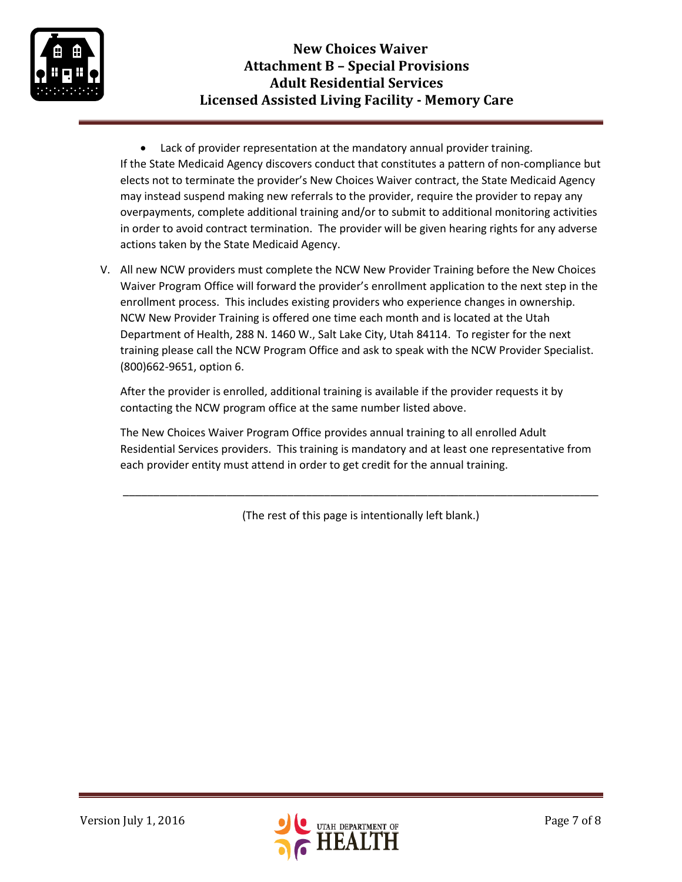

 Lack of provider representation at the mandatory annual provider training. If the State Medicaid Agency discovers conduct that constitutes a pattern of non-compliance but elects not to terminate the provider's New Choices Waiver contract, the State Medicaid Agency may instead suspend making new referrals to the provider, require the provider to repay any overpayments, complete additional training and/or to submit to additional monitoring activities in order to avoid contract termination. The provider will be given hearing rights for any adverse actions taken by the State Medicaid Agency.

V. All new NCW providers must complete the NCW New Provider Training before the New Choices Waiver Program Office will forward the provider's enrollment application to the next step in the enrollment process. This includes existing providers who experience changes in ownership. NCW New Provider Training is offered one time each month and is located at the Utah Department of Health, 288 N. 1460 W., Salt Lake City, Utah 84114. To register for the next training please call the NCW Program Office and ask to speak with the NCW Provider Specialist. (800)662-9651, option 6.

After the provider is enrolled, additional training is available if the provider requests it by contacting the NCW program office at the same number listed above.

The New Choices Waiver Program Office provides annual training to all enrolled Adult Residential Services providers. This training is mandatory and at least one representative from each provider entity must attend in order to get credit for the annual training.

(The rest of this page is intentionally left blank.)

\_\_\_\_\_\_\_\_\_\_\_\_\_\_\_\_\_\_\_\_\_\_\_\_\_\_\_\_\_\_\_\_\_\_\_\_\_\_\_\_\_\_\_\_\_\_\_\_\_\_\_\_\_\_\_\_\_\_\_\_\_\_\_\_\_\_\_\_\_\_\_\_\_\_\_\_\_\_